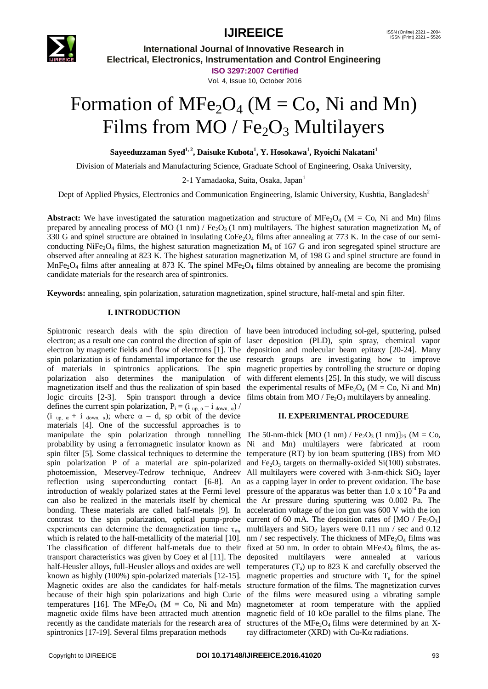

**International Journal of Innovative Research in Electrical, Electronics, Instrumentation and Control Engineering**

**ISO 3297:2007 Certified**

Vol. 4, Issue 10, October 2016

# Formation of  $MFe<sub>2</sub>O<sub>4</sub>$  (M = Co, Ni and Mn) Films from  $MO / Fe<sub>2</sub>O<sub>3</sub>$  Multilayers

**Sayeeduzzaman Syed1, 2, Daisuke Kubota<sup>1</sup> , Y. Hosokawa<sup>1</sup> , Ryoichi Nakatani<sup>1</sup>**

Division of Materials and Manufacturing Science, Graduate School of Engineering, Osaka University,

2-1 Yamadaoka, Suita, Osaka, Japan<sup>1</sup>

Dept of Applied Physics, Electronics and Communication Engineering, Islamic University, Kushtia, Bangladesh<sup>2</sup>

**Abstract:** We have investigated the saturation magnetization and structure of MFe<sub>2</sub>O<sub>4</sub> (M = Co, Ni and Mn) films prepared by annealing process of MO (1 nm) / Fe<sub>2</sub>O<sub>3</sub> (1 nm) multilayers. The highest saturation magnetization M<sub>s</sub> of 330 G and spinel structure are obtained in insulating  $\text{CoFe}_2\text{O}_4$  films after annealing at 773 K. In the case of our semiconducting  $NiFe<sub>2</sub>O<sub>4</sub>$  films, the highest saturation magnetization  $M<sub>s</sub>$  of 167 G and iron segregated spinel structure are observed after annealing at 823 K. The highest saturation magnetization  $M_s$  of 198 G and spinel structure are found in MnFe<sub>2</sub>O<sub>4</sub> films after annealing at 873 K. The spinel MFe<sub>2</sub>O<sub>4</sub> films obtained by annealing are become the promising candidate materials for the research area of spintronics.

**Keywords:** annealing, spin polarization, saturation magnetization, spinel structure, half-metal and spin filter.

### **I. INTRODUCTION**

Spintronic research deals with the spin direction of have been introduced including sol-gel, sputtering, pulsed electron; as a result one can control the direction of spin of laser deposition (PLD), spin spray, chemical vapor electron by magnetic fields and flow of electrons [1]. The deposition and molecular beam epitaxy [20-24]. Many spin polarization is of fundamental importance for the use research groups are investigating how to improve of materials in spintronics applications. The spin magnetic properties by controlling the structure or doping polarization also determines the manipulation of with different elements [25]. In this study, we will discuss magnetization itself and thus the realization of spin based the experimental results of  $MFe<sub>2</sub>O<sub>4</sub>$  (M = Co, Ni and Mn) logic circuits [2-3]. Spin transport through a device films obtain from MO /  $Fe<sub>2</sub>O<sub>3</sub>$  multilayers by annealing. defines the current spin polarization,  $P_i = (i_{up, \alpha} - i_{down, \alpha})$ (i up,  $\alpha + i$  down,  $\alpha$ ); where  $\alpha = d$ , sp orbit of the device materials [4]. One of the successful approaches is to manipulate the spin polarization through tunnelling The 50-nm-thick  $[MO (1 nm) / Fe<sub>2</sub>O<sub>3</sub> (1 nm)]<sub>25</sub> (M = Co,$ probability by using a ferromagnetic insulator known as Ni and Mn) multilayers were fabricated at room spin filter [5]. Some classical techniques to determine the temperature (RT) by ion beam sputtering (IBS) from MO spin polarization P of a material are spin-polarized and  $Fe<sub>2</sub>O<sub>3</sub>$  targets on thermally-oxided Si(100) substrates. photoemission, Meservey-Tedrow technique, Andreev reflection using superconducting contact [6-8]. An introduction of weakly polarized states at the Fermi level can also be realized in the materials itself by chemical bonding. These materials are called half-metals [9]. In contrast to the spin polarization, optical pump-probe experiments can determine the demagnetization time  $\tau_{m}$ , which is related to the half-metallicity of the material [10]. The classification of different half-metals due to their transport characteristics was given by Coey et al [11]. The half-Heusler alloys, full-Heusler alloys and oxides are well known as highly (100%) spin-polarized materials [12-15]. Magnetic oxides are also the candidates for half-metals because of their high spin polarizations and high Curie temperatures [16]. The MFe<sub>2</sub>O<sub>4</sub> (M = Co, Ni and Mn) magnetic oxide films have been attracted much attention recently as the candidate materials for the research area of spintronics [17-19]. Several films preparation methods

### **II. EXPERIMENTAL PROCEDURE**

All multilayers were covered with  $3$ -nm-thick SiO<sub>2</sub> layer as a capping layer in order to prevent oxidation. The base pressure of the apparatus was better than  $1.0 \times 10^{-4}$  Pa and the Ar pressure during sputtering was 0.002 Pa. The acceleration voltage of the ion gun was 600 V with the ion current of 60 mA. The deposition rates of  $[MO / Fe<sub>2</sub>O<sub>3</sub>]$ multilayers and  $SiO<sub>2</sub>$  layers were 0.11 nm / sec and 0.12 nm / sec respectively. The thickness of  $MFe<sub>2</sub>O<sub>4</sub>$  films was fixed at 50 nm. In order to obtain  $MFe<sub>2</sub>O<sub>4</sub>$  films, the asdeposited multilayers were annealed at various temperatures  $(T_a)$  up to 823 K and carefully observed the magnetic properties and structure with  $T_a$  for the spinel structure formation of the films. The magnetization curves of the films were measured using a vibrating sample magnetometer at room temperature with the applied magnetic field of 10 kOe parallel to the films plane. The structures of the MFe<sub>2</sub>O<sub>4</sub> films were determined by an Xray diffractometer (XRD) with Cu-Kα radiations.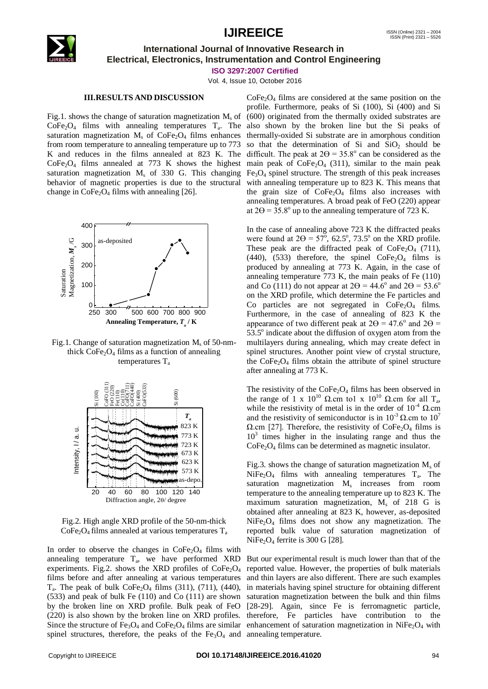

### **International Journal of Innovative Research in Electrical, Electronics, Instrumentation and Control Engineering**

**ISO 3297:2007 Certified**

Vol. 4, Issue 10, October 2016

### **III.RESULTS AND DISCUSSION**

Fig.1. shows the change of saturation magnetization  $M_s$  of  $CoFe<sub>2</sub>O<sub>4</sub>$  films with annealing temperatures  $T_a$ . The saturation magnetization  $M_s$  of CoFe<sub>2</sub>O<sub>4</sub> films enhances from room temperature to annealing temperature up to 773 K and reduces in the films annealed at 823 K. The  $CoFe<sub>2</sub>O<sub>4</sub>$  films annealed at 773 K shows the highest saturation magnetization  $M_s$  of 330 G. This changing behavior of magnetic properties is due to the structural change in  $CoFe<sub>2</sub>O<sub>4</sub>$  films with annealing [26].



Fig.1. Change of saturation magnetization  $M_s$  of 50-nmthick  $CoFe<sub>2</sub>O<sub>4</sub>$  films as a function of annealing temperatures  $T_a$ 



Fig.2. High angle XRD profile of the 50-nm-thick  $CoFe<sub>2</sub>O<sub>4</sub>$  films annealed at various temperatures  $T_a$ 

In order to observe the changes in  $\text{CoFe}_2\text{O}_4$  films with annealing temperature  $T_a$ , we have performed XRD experiments. Fig.2. shows the XRD profiles of  $CoFe<sub>2</sub>O<sub>4</sub>$ films before and after annealing at various temperatures  $T_a$ . The peak of bulk CoFe<sub>2</sub>O<sub>4</sub> films (311), (711), (440), (533) and peak of bulk Fe (110) and Co (111) are shown by the broken line on XRD profile. Bulk peak of FeO (220) is also shown by the broken line on XRD profiles. spinel structures, therefore, the peaks of the  $Fe<sub>3</sub>O<sub>4</sub>$  and annealing temperature.

 $CoFe<sub>2</sub>O<sub>4</sub>$  films are considered at the same position on the profile. Furthermore, peaks of Si (100), Si (400) and Si (600) originated from the thermally oxided substrates are also shown by the broken line but the Si peaks of thermally-oxided Si substrate are in amorphous condition so that the determination of Si and  $SiO<sub>2</sub>$  should be difficult. The peak at  $2\Theta = 35.8^{\circ}$  can be considered as the main peak of  $CoFe<sub>2</sub>O<sub>4</sub>$  (311), similar to the main peak  $Fe<sub>3</sub>O<sub>4</sub>$  spinel structure. The strength of this peak increases with annealing temperature up to 823 K. This means that the grain size of  $CoFe<sub>2</sub>O<sub>4</sub>$  films also increases with annealing temperatures. A broad peak of FeO (220) appear at  $2\Theta = 35.8^{\circ}$  up to the annealing temperature of 723 K.

In the case of annealing above 723 K the diffracted peaks were found at  $2\Theta = 57^\circ$ , 62.5°, 73.5° on the XRD profile. These peak are the diffracted peak of  $CoFe<sub>2</sub>O<sub>4</sub>$  (711), (440), (533) therefore, the spinel  $CoFe<sub>2</sub>O<sub>4</sub>$  films is produced by annealing at 773 K. Again, in the case of annealing temperature 773 K, the main peaks of Fe (110) and Co (111) do not appear at  $2\Theta = 44.6^\circ$  and  $2\Theta = 53.6^\circ$ on the XRD profile, which determine the Fe particles and Co particles are not segregated in  $\text{CoFe}_2\text{O}_4$  films. Furthermore, in the case of annealing of 823 K the appearance of two different peak at  $2\Theta = 47.6^{\circ}$  and  $2\Theta =$  $53.5^\circ$  indicate about the diffusion of oxygen atom from the multilayers during annealing, which may create defect in spinel structures. Another point view of crystal structure, the  $\text{CoFe}_2\text{O}_4$  films obtain the attribute of spinel structure after annealing at 773 K.

The resistivity of the  $\text{CoFe}_2\text{O}_4$  films has been observed in the range of 1 x  $10^{10}$  Ω.cm to1 x  $10^{10}$  Ω.cm for all T<sub>a</sub>, while the resistivity of metal is in the order of  $10^{-4}$  Q.cm and the resistivity of semiconductor is in  $10^{-3} \Omega$  cm to  $10^{7}$  $\Omega$ .cm [27]. Therefore, the resistivity of CoFe<sub>2</sub>O<sub>4</sub> films is 10<sup>3</sup> times higher in the insulating range and thus the CoFe2O<sup>4</sup> films can be determined as magnetic insulator.

Fig.3. shows the change of saturation magnetization  $M_s$  of  $NiFe<sub>2</sub>O<sub>4</sub>$  films with annealing temperatures  $T_a$ . The saturation magnetization M<sub>s</sub> increases from room temperature to the annealing temperature up to 823 K. The maximum saturation magnetization,  $M_s$  of 218 G is obtained after annealing at 823 K, however, as-deposited  $NiFe<sub>2</sub>O<sub>4</sub>$  films does not show any magnetization. The reported bulk value of saturation magnetization of  $NiFe<sub>2</sub>O<sub>4</sub>$  ferrite is 300 G [28].

Since the structure of  $Fe<sub>3</sub>O<sub>4</sub>$  and  $CoFe<sub>2</sub>O<sub>4</sub>$  films are similar enhancement of saturation magnetization in NiFe<sub>2</sub>O<sub>4</sub> with But our experimental result is much lower than that of the reported value. However, the properties of bulk materials and thin layers are also different. There are such examples in materials having spinel structure for obtaining different saturation magnetization between the bulk and thin films [28-29]. Again, since Fe is ferromagnetic particle, therefore, Fe particles have contribution to the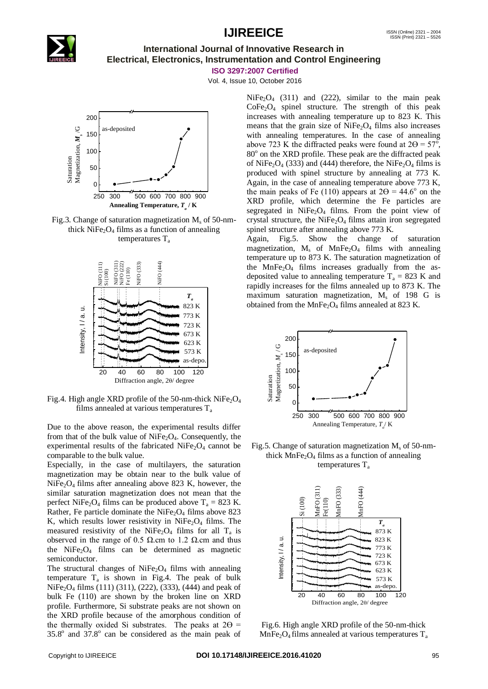

## **International Journal of Innovative Research in Electrical, Electronics, Instrumentation and Control Engineering**

**ISO 3297:2007 Certified**

Vol. 4, Issue 10, October 2016



Fig.3. Change of saturation magnetization  $M_s$  of 50-nmthick  $NiFe<sub>2</sub>O<sub>4</sub>$  films as a function of annealing temperatures  $T_a$ 



Fig.4. High angle XRD profile of the 50-nm-thick  $NiFe<sub>2</sub>O<sub>4</sub>$ films annealed at various temperatures  $T_a$ 

Due to the above reason, the experimental results differ from that of the bulk value of  $NiFe<sub>2</sub>O<sub>4</sub>$ . Consequently, the experimental results of the fabricated  $NiFe<sub>2</sub>O<sub>4</sub>$  cannot be comparable to the bulk value.

Especially, in the case of multilayers, the saturation magnetization may be obtain near to the bulk value of  $NiFe<sub>2</sub>O<sub>4</sub>$  films after annealing above 823 K, however, the similar saturation magnetization does not mean that the perfect NiFe<sub>2</sub>O<sub>4</sub> films can be produced above  $T_a = 823$  K. Rather, Fe particle dominate the NiFe<sub>2</sub>O<sub>4</sub> films above 823 K, which results lower resistivity in  $NiFe<sub>2</sub>O<sub>4</sub>$  films. The measured resistivity of the NiFe<sub>2</sub>O<sub>4</sub> films for all  $T_a$  is observed in the range of 0.5 Ω.cm to 1.2 Ω.cm and thus the  $NiFe<sub>2</sub>O<sub>4</sub>$  films can be determined as magnetic semiconductor.

The structural changes of  $NiFe<sub>2</sub>O<sub>4</sub>$  films with annealing temperature  $T_a$  is shown in Fig.4. The peak of bulk  $NiFe<sub>2</sub>O<sub>4</sub>$  films (111) (311), (222), (333), (444) and peak of bulk Fe (110) are shown by the broken line on XRD profile. Furthermore, Si substrate peaks are not shown on the XRD profile because of the amorphous condition of the thermally oxided Si substrates. The peaks at  $2\Theta =$  $35.8^\circ$  and  $37.8^\circ$  can be considered as the main peak of

 $NiFe<sub>2</sub>O<sub>4</sub>$  (311) and (222), similar to the main peak  $CoFe<sub>2</sub>O<sub>4</sub>$  spinel structure. The strength of this peak increases with annealing temperature up to 823 K. This means that the grain size of  $NiFe<sub>2</sub>O<sub>4</sub>$  films also increases with annealing temperatures. In the case of annealing above 723 K the diffracted peaks were found at  $2\Theta = 57^{\circ}$ , 80° on the XRD profile. These peak are the diffracted peak of NiFe<sub>2</sub>O<sub>4</sub> (333) and (444) therefore, the NiFe<sub>2</sub>O<sub>4</sub> films is produced with spinel structure by annealing at 773 K. Again, in the case of annealing temperature above 773 K, the main peaks of Fe (110) appears at  $2\Theta = 44.6^{\circ}$  on the XRD profile, which determine the Fe particles are segregated in  $NiFe<sub>2</sub>O<sub>4</sub>$  films. From the point view of crystal structure, the NiFe<sub>2</sub>O<sub>4</sub> films attain iron segregated spinel structure after annealing above 773 K.

Again, Fig.5. Show the change of saturation magnetization,  $M_s$  of MnFe<sub>2</sub>O<sub>4</sub> films with annealing temperature up to 873 K. The saturation magnetization of the  $MnFe<sub>2</sub>O<sub>4</sub>$  films increases gradually from the asdeposited value to annealing temperature  $T_a = 823$  K and rapidly increases for the films annealed up to 873 K. The maximum saturation magnetization,  $M_s$  of 198 G is obtained from the MnFe<sub>2</sub>O<sub>4</sub> films annealed at 823 K.



Fig.5. Change of saturation magnetization  $M_s$  of 50-nmthick  $MnFe<sub>2</sub>O<sub>4</sub>$  films as a function of annealing temperatures  $T_a$ 



Fig.6. High angle XRD profile of the 50-nm-thick  $MnFe<sub>2</sub>O<sub>4</sub>$  films annealed at various temperatures  $T_a$